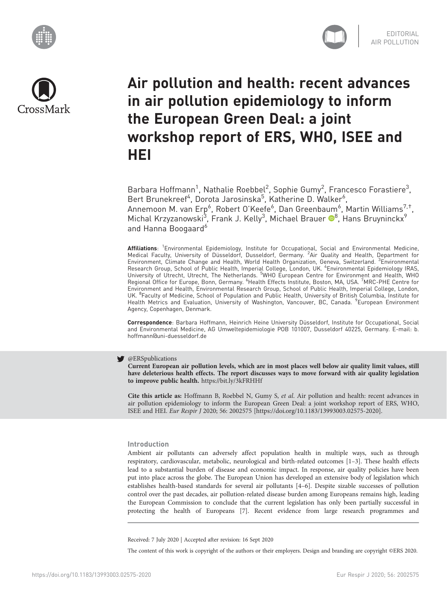





# Air pollution and health: recent advances in air pollution epidemiology to inform the European Green Deal: a joint workshop report of ERS, WHO, ISEE and HEI

Barbara Hoffmann<sup>1</sup>, Nathalie Roebbel<sup>2</sup>, Sophie Gumy<sup>2</sup>, Francesco Forastiere<sup>3</sup>, Bert Brunekreef<sup>4</sup>, Dorota Jarosinska<sup>5</sup>, Katherine D. Walker<sup>6</sup>, Annemoon M. van Erp<sup>6</sup>, Robert O'Keefe<sup>6</sup>, Dan Greenbaum<sup>6</sup>, Martin Williams<sup>7,†</sup>, Michal Krzyzanowski<sup>3</sup>, Frank J. Kelly<sup>3</sup>, Michael Brauer ®<sup>[8](https://orcid.org/0000-0002-9103-9343)</sup>, Hans Bruyninckx<sup>9</sup> and Hanna Boogaard<sup>6</sup>

Affiliations: <sup>1</sup>Environmental Epidemiology, Institute for Occupational, Social and Environmental Medicine, Medical Faculty, University of Düsseldorf, Dusseldorf, Germany. <sup>2</sup>Air Quality and Health, Department for Environment, Climate Change and Health, World Health Organization, Geneva, Switzerland. <sup>3</sup>Environmental Research Group, School of Public Health, Imperial College, London, UK. <sup>4</sup>Environmental Epidemiology IRAS,<br>University of Utrecht, Utrecht, The Netherlands. <sup>5</sup>WHO European Centre for Environm<u>e</u>nt and Health, WHO Regional Office for Europe, Bonn, Germany. <sup>6</sup> Health Effects Institute, Boston, MA, USA. <sup>7</sup>MRC-PHE Centre for Environment and Health, Environmental Research Group, School of Public Health, Imperial College, London, UK. <sup>8</sup> Faculty of Medicine, School of Population and Public Health, University of British Columbia, Institute for Health Metrics and Evaluation, University of Washington, Vancouver, BC, Canada. <sup>9</sup>European Environment Agency, Copenhagen, Denmark.

Correspondence: Barbara Hoffmann, Heinrich Heine University Düsseldorf, Institute for Occupational, Social and Environmental Medicine, AG Umweltepidemiologie POB 101007, Dusseldorf 40225, Germany. E-mail: [b.](mailto:b.hoffmann@uni-duesseldorf.de) [hoffmann@uni-duesseldorf.de](mailto:b.hoffmann@uni-duesseldorf.de)

#### **S** @ERSpublications

Current European air pollution levels, which are in most places well below air quality limit values, still have deleterious health effects. The report discusses ways to move forward with air quality legislation to improve public health. <https://bit.ly/3kFRHHf>

Cite this article as: Hoffmann B, Roebbel N, Gumy S, et al. Air pollution and health: recent advances in air pollution epidemiology to inform the European Green Deal: a joint workshop report of ERS, WHO, ISEE and HEI. Eur Respir J 2020; 56: 2002575 [\[https://doi.org/10.1183/13993003.02575-2020\].](https://doi.org/10.1183/13993003.02575-2020)

#### Introduction

Ambient air pollutants can adversely affect population health in multiple ways, such as through respiratory, cardiovascular, metabolic, neurological and birth-related outcomes [\[1](#page-4-0)–[3\]](#page-4-0). These health effects lead to a substantial burden of disease and economic impact. In response, air quality policies have been put into place across the globe. The European Union has developed an extensive body of legislation which establishes health-based standards for several air pollutants [\[4](#page-4-0)–[6\]](#page-4-0). Despite sizable successes of pollution control over the past decades, air pollution-related disease burden among Europeans remains high, leading the European Commission to conclude that the current legislation has only been partially successful in protecting the health of Europeans [[7\]](#page-4-0). Recent evidence from large research programmes and

Received: 7 July 2020 | Accepted after revision: 16 Sept 2020

The content of this work is copyright of the authors or their employers. Design and branding are copyright ©ERS 2020.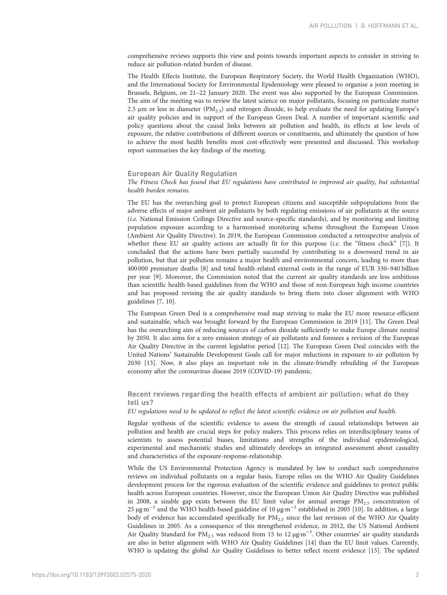comprehensive reviews supports this view and points towards important aspects to consider in striving to reduce air pollution-related burden of disease.

The Health Effects Institute, the European Respiratory Society, the World Health Organization (WHO), and the International Society for Environmental Epidemiology were pleased to organise a joint meeting in Brussels, Belgium, on 21–22 January 2020. The event was also supported by the European Commission. The aim of the meeting was to review the latest science on major pollutants, focusing on particulate matter 2.5 μm or less in diameter  $(PM_{2.5})$  and nitrogen dioxide, to help evaluate the need for updating Europe's air quality policies and in support of the European Green Deal. A number of important scientific and policy questions about the causal links between air pollution and health, its effects at low levels of exposure, the relative contributions of different sources or constituents, and ultimately the question of how to achieve the most health benefits most cost-effectively were presented and discussed. This workshop report summarises the key findings of the meeting.

### European Air Quality Regulation

# The Fitness Check has found that EU regulations have contributed to improved air quality, but substantial health burden remains.

The EU has the overarching goal to protect European citizens and susceptible subpopulations from the adverse effects of major ambient air pollutants by both regulating emissions of air pollutants at the source (i.e. National Emission Ceilings Directive and source-specific standards), and by monitoring and limiting population exposure according to a harmonised monitoring scheme throughout the European Union (Ambient Air Quality Directive). In 2019, the European Commission conducted a retrospective analysis of whether these EU air quality actions are actually fit for this purpose (*i.e.* the "fitness check" [[7](#page-4-0)]). It concluded that the actions have been partially successful by contributing to a downward trend in air pollution, but that air pollution remains a major health and environmental concern, leading to more than 400 000 premature deaths [\[8\]](#page-4-0) and total health-related external costs in the range of EUR 330–940 billion per year [\[9\]](#page-4-0). Moreover, the Commission noted that the current air quality standards are less ambitious than scientific health-based guidelines from the WHO and those of non-European high income countries and has proposed revising the air quality standards to bring them into closer alignment with WHO guidelines [[7](#page-4-0), [10\]](#page-4-0).

The European Green Deal is a comprehensive road map striving to make the EU more resource-efficient and sustainable, which was brought forward by the European Commission in 2019 [[11](#page-4-0)]. The Green Deal has the overarching aim of reducing sources of carbon dioxide sufficiently to make Europe climate neutral by 2050. It also aims for a zero emission strategy of air pollutants and foresees a revision of the European Air Quality Directive in the current legislative period [\[12](#page-4-0)]. The European Green Deal coincides with the United Nations' Sustainable Development Goals call for major reductions in exposure to air pollution by 2030 [\[13](#page-5-0)]. Now, it also plays an important role in the climate-friendly rebuilding of the European economy after the coronavirus disease 2019 (COVID-19) pandemic.

## Recent reviews regarding the health effects of ambient air pollution: what do they tell us?

#### EU regulations need to be updated to reflect the latest scientific evidence on air pollution and health.

Regular synthesis of the scientific evidence to assess the strength of causal relationships between air pollution and health are crucial steps for policy makers. This process relies on interdisciplinary teams of scientists to assess potential biases, limitations and strengths of the individual epidemiological, experimental and mechanistic studies and ultimately develops an integrated assessment about causality and characteristics of the exposure-response-relationship.

While the US Environmental Protection Agency is mandated by law to conduct such comprehensive reviews on individual pollutants on a regular basis, Europe relies on the WHO Air Quality Guidelines development process for the rigorous evaluation of the scientific evidence and guidelines to protect public health across European countries. However, since the European Union Air Quality Directive was published in 2008, a sizable gap exists between the EU limit value for annual average  $PM_{2.5}$  concentration of 25 µg·m−<sup>3</sup> and the WHO health-based guideline of 10 µg·m−<sup>3</sup> established in 2005 [[10](#page-4-0)]. In addition, a large body of evidence has accumulated specifically for  $PM_{2.5}$  since the last revision of the WHO Air Quality Guidelines in 2005. As a consequence of this strengthened evidence, in 2012, the US National Ambient Air Quality Standard for PM<sub>2.5</sub> was reduced from 15 to 12 μg·m<sup>-3</sup>. Other countries' air quality standards are also in better alignment with WHO Air Quality Guidelines [[14\]](#page-5-0) than the EU limit values. Currently, WHO is updating the global Air Quality Guidelines to better reflect recent evidence [\[15\]](#page-5-0). The updated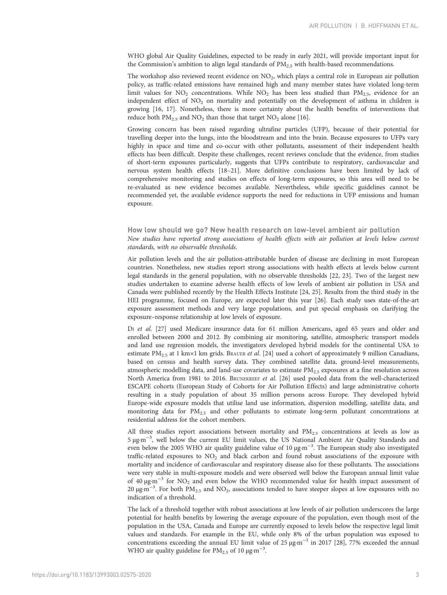WHO global Air Quality Guidelines, expected to be ready in early 2021, will provide important input for the Commission's ambition to align legal standards of  $PM_{2.5}$  with health-based recommendations.

The workshop also reviewed recent evidence on NO<sub>2</sub>, which plays a central role in European air pollution policy, as traffic-related emissions have remained high and many member states have violated long-term limit values for  $NO<sub>2</sub>$  concentrations. While  $NO<sub>2</sub>$  has been less studied than  $PM<sub>2.5</sub>$ , evidence for an independent effect of  $NO<sub>2</sub>$  on mortality and potentially on the development of asthma in children is growing [[16](#page-5-0), [17](#page-5-0)]. Nonetheless, there is more certainty about the health benefits of interventions that reduce both  $PM_{2.5}$  and  $NO_2$  than those that target  $NO_2$  alone [[16](#page-5-0)].

Growing concern has been raised regarding ultrafine particles (UFP), because of their potential for travelling deeper into the lungs, into the bloodstream and into the brain. Because exposures to UFPs vary highly in space and time and co-occur with other pollutants, assessment of their independent health effects has been difficult. Despite these challenges, recent reviews conclude that the evidence, from studies of short-term exposures particularly, suggests that UFPs contribute to respiratory, cardiovascular and nervous system health effects [\[18](#page-5-0)–[21](#page-5-0)]. More definitive conclusions have been limited by lack of comprehensive monitoring and studies on effects of long-term exposures, so this area will need to be re-evaluated as new evidence becomes available. Nevertheless, while specific guidelines cannot be recommended yet, the available evidence supports the need for reductions in UFP emissions and human exposure.

# How low should we go? New health research on low-level ambient air pollution New studies have reported strong associations of health effects with air pollution at levels below current standards, with no observable thresholds.

Air pollution levels and the air pollution-attributable burden of disease are declining in most European countries. Nonetheless, new studies report strong associations with health effects at levels below current legal standards in the general population, with no observable thresholds [\[22, 23\]](#page-5-0). Two of the largest new studies undertaken to examine adverse health effects of low levels of ambient air pollution in USA and Canada were published recently by the Health Effects Institute [[24](#page-5-0), [25](#page-5-0)]. Results from the third study in the HEI programme, focused on Europe, are expected later this year [[26](#page-5-0)]. Each study uses state-of-the-art exposure assessment methods and very large populations, and put special emphasis on clarifying the exposure–response relationship at low levels of exposure.

DI et al. [\[27\]](#page-5-0) used Medicare insurance data for 61 million Americans, aged 65 years and older and enrolled between 2000 and 2012. By combining air monitoring, satellite, atmospheric transport models and land use regression models, the investigators developed hybrid models for the continental USA to estimate PM<sub>2.5</sub> at 1 km×1 km grids. BRAUER et al. [\[24\]](#page-5-0) used a cohort of approximately 9 million Canadians, based on census and health survey data. They combined satellite data, ground-level measurements, atmospheric modelling data, and land-use covariates to estimate PM2.5 exposures at a fine resolution across North America from 1981 to 2016. BRUNEKREEF et al. [\[26\]](#page-5-0) used pooled data from the well-characterized ESCAPE cohorts (European Study of Cohorts for Air Pollution Effects) and large administrative cohorts resulting in a study population of about 35 million persons across Europe. They developed hybrid Europe-wide exposure models that utilise land use information, dispersion modelling, satellite data, and monitoring data for  $PM_{2.5}$  and other pollutants to estimate long-term pollutant concentrations at residential address for the cohort members.

All three studies report associations between mortality and  $PM_{2.5}$  concentrations at levels as low as 5 µg·m−<sup>3</sup> , well below the current EU limit values, the US National Ambient Air Quality Standards and even below the 2005 WHO air quality guideline value of 10 µg·m<sup>-3</sup>. The European study also investigated traffic-related exposures to  $NO<sub>2</sub>$  and black carbon and found robust associations of the exposure with mortality and incidence of cardiovascular and respiratory disease also for these pollutants. The associations were very stable in multi-exposure models and were observed well below the European annual limit value of 40 µg·m−<sup>3</sup> for NO2 and even below the WHO recommended value for health impact assessment of 20 μg·m<sup>-3</sup>. For both PM<sub>2.5</sub> and NO<sub>2</sub>, associations tended to have steeper slopes at low exposures with no indication of a threshold.

The lack of a threshold together with robust associations at low levels of air pollution underscores the large potential for health benefits by lowering the average exposure of the population, even though most of the population in the USA, Canada and Europe are currently exposed to levels below the respective legal limit values and standards. For example in the EU, while only 8% of the urban population was exposed to concentrations exceeding the annual EU limit value of 25  $\mu$ g·m<sup>-3</sup> in 2017 [\[28\]](#page-5-0), 77% exceeded the annual WHO air quality guideline for  $PM_{2.5}$  of 10  $\mu$ g·m<sup>-3</sup>.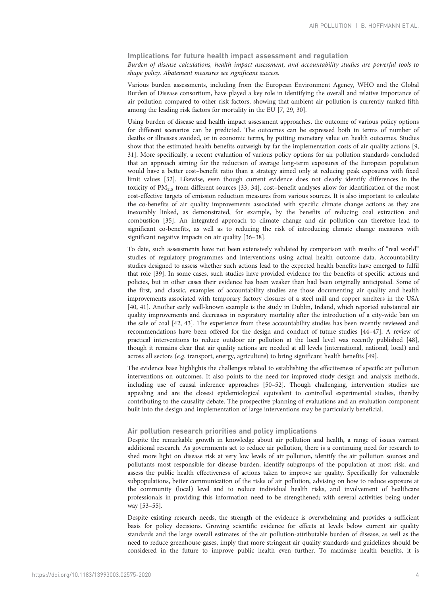# Implications for future health impact assessment and regulation

Burden of disease calculations, health impact assessment, and accountability studies are powerful tools to shape policy. Abatement measures see significant success.

Various burden assessments, including from the European Environment Agency, WHO and the Global Burden of Disease consortium, have played a key role in identifying the overall and relative importance of air pollution compared to other risk factors, showing that ambient air pollution is currently ranked fifth among the leading risk factors for mortality in the EU [[7](#page-4-0), [29, 30\]](#page-5-0).

Using burden of disease and health impact assessment approaches, the outcome of various policy options for different scenarios can be predicted. The outcomes can be expressed both in terms of number of deaths or illnesses avoided, or in economic terms, by putting monetary value on health outcomes. Studies show that the estimated health benefits outweigh by far the implementation costs of air quality actions [\[9](#page-4-0), [31\]](#page-5-0). More specifically, a recent evaluation of various policy options for air pollution standards concluded that an approach aiming for the reduction of average long-term exposures of the European population would have a better cost–benefit ratio than a strategy aimed only at reducing peak exposures with fixed limit values [\[32](#page-5-0)]. Likewise, even though current evidence does not clearly identify differences in the toxicity of PM2.5 from different sources [[33](#page-5-0), [34](#page-5-0)], cost–benefit analyses allow for identification of the most cost-effective targets of emission reduction measures from various sources. It is also important to calculate the co-benefits of air quality improvements associated with specific climate change actions as they are inexorably linked, as demonstrated, for example, by the benefits of reducing coal extraction and combustion [\[35\]](#page-5-0). An integrated approach to climate change and air pollution can therefore lead to significant co-benefits, as well as to reducing the risk of introducing climate change measures with significant negative impacts on air quality [\[36](#page-5-0)–[38](#page-5-0)].

To date, such assessments have not been extensively validated by comparison with results of "real world" studies of regulatory programmes and interventions using actual health outcome data. Accountability studies designed to assess whether such actions lead to the expected health benefits have emerged to fulfil that role [\[39\]](#page-5-0). In some cases, such studies have provided evidence for the benefits of specific actions and policies, but in other cases their evidence has been weaker than had been originally anticipated. Some of the first, and classic, examples of accountability studies are those documenting air quality and health improvements associated with temporary factory closures of a steel mill and copper smelters in the USA [\[40, 41](#page-5-0)]. Another early well-known example is the study in Dublin, Ireland, which reported substantial air quality improvements and decreases in respiratory mortality after the introduction of a city-wide ban on the sale of coal [[42](#page-5-0), [43](#page-5-0)]. The experience from these accountability studies has been recently reviewed and recommendations have been offered for the design and conduct of future studies [\[44](#page-5-0)–[47](#page-6-0)]. A review of practical interventions to reduce outdoor air pollution at the local level was recently published [[48](#page-6-0)], though it remains clear that air quality actions are needed at all levels (international, national, local) and across all sectors (e.g. transport, energy, agriculture) to bring significant health benefits [[49](#page-6-0)].

The evidence base highlights the challenges related to establishing the effectiveness of specific air pollution interventions on outcomes. It also points to the need for improved study design and analysis methods, including use of causal inference approaches [[50](#page-6-0)–[52](#page-6-0)]. Though challenging, intervention studies are appealing and are the closest epidemiological equivalent to controlled experimental studies, thereby contributing to the causality debate. The prospective planning of evaluations and an evaluation component built into the design and implementation of large interventions may be particularly beneficial.

### Air pollution research priorities and policy implications

Despite the remarkable growth in knowledge about air pollution and health, a range of issues warrant additional research. As governments act to reduce air pollution, there is a continuing need for research to shed more light on disease risk at very low levels of air pollution, identify the air pollution sources and pollutants most responsible for disease burden, identify subgroups of the population at most risk, and assess the public health effectiveness of actions taken to improve air quality. Specifically for vulnerable subpopulations, better communication of the risks of air pollution, advising on how to reduce exposure at the community (local) level and to reduce individual health risks, and involvement of healthcare professionals in providing this information need to be strengthened; with several activities being under way [[53](#page-6-0)–[55](#page-6-0)].

Despite existing research needs, the strength of the evidence is overwhelming and provides a sufficient basis for policy decisions. Growing scientific evidence for effects at levels below current air quality standards and the large overall estimates of the air pollution-attributable burden of disease, as well as the need to reduce greenhouse gases, imply that more stringent air quality standards and guidelines should be considered in the future to improve public health even further. To maximise health benefits, it is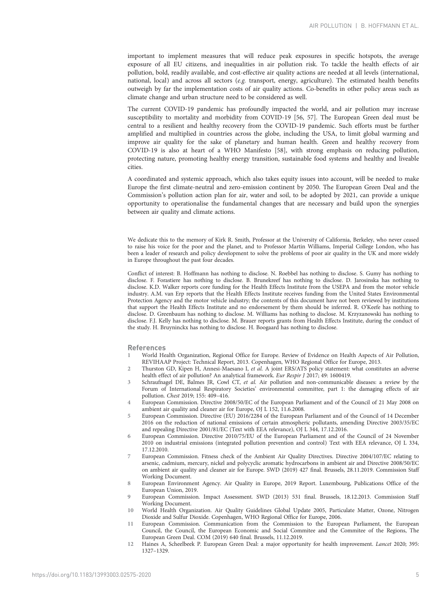<span id="page-4-0"></span>important to implement measures that will reduce peak exposures in specific hotspots, the average exposure of all EU citizens, and inequalities in air pollution risk. To tackle the health effects of air pollution, bold, readily available, and cost-effective air quality actions are needed at all levels (international, national, local) and across all sectors (e.g. transport, energy, agriculture). The estimated health benefits outweigh by far the implementation costs of air quality actions. Co-benefits in other policy areas such as climate change and urban structure need to be considered as well.

The current COVID-19 pandemic has profoundly impacted the world, and air pollution may increase susceptibility to mortality and morbidity from COVID-19 [[56](#page-6-0), [57](#page-6-0)]. The European Green deal must be central to a resilient and healthy recovery from the COVID-19 pandemic. Such efforts must be further amplified and multiplied in countries across the globe, including the USA, to limit global warming and improve air quality for the sake of planetary and human health. Green and healthy recovery from COVID-19 is also at heart of a WHO Manifesto [\[58\]](#page-6-0), with strong emphasis on reducing pollution, protecting nature, promoting healthy energy transition, sustainable food systems and healthy and liveable cities.

A coordinated and systemic approach, which also takes equity issues into account, will be needed to make Europe the first climate-neutral and zero-emission continent by 2050. The European Green Deal and the Commission's pollution action plan for air, water and soil, to be adopted by 2021, can provide a unique opportunity to operationalise the fundamental changes that are necessary and build upon the synergies between air quality and climate actions.

We dedicate this to the memory of Kirk R. Smith, Professor at the University of California, Berkeley, who never ceased to raise his voice for the poor and the planet, and to Professor Martin Williams, Imperial College London, who has been a leader of research and policy development to solve the problems of poor air quality in the UK and more widely in Europe throughout the past four decades.

Conflict of interest: B. Hoffmann has nothing to disclose. N. Roebbel has nothing to disclose. S. Gumy has nothing to disclose. F. Forastiere has nothing to disclose. B. Brunekreef has nothing to disclose. D. Jarosinska has nothing to disclose. K.D. Walker reports core funding for the Health Effects Institute from the USEPA and from the motor vehicle industry. A.M. van Erp reports that the Health Effects Institute receives funding from the United States Environmental Protection Agency and the motor vehicle industry; the contents of this document have not been reviewed by institutions that support the Health Effects Institute and no endorsement by them should be inferred. R. O'Keefe has nothing to disclose. D. Greenbaum has nothing to disclose. M. Williams has nothing to disclose. M. Krzyzanowski has nothing to disclose. F.J. Kelly has nothing to disclose. M. Brauer reports grants from Health Effects Institute, during the conduct of the study. H. Bruyninckx has nothing to disclose. H. Boogaard has nothing to disclose.

#### References

- 1 World Health Organization, Regional Office for Europe. Review of Evidence on Health Aspects of Air Pollution, REVIHAAP Project: Technical Report, 2013. Copenhagen, WHO Regional Office for Europe, 2013.
- 2 Thurston GD, Kipen H, Annesi-Maesano I, et al. A joint ERS/ATS policy statement: what constitutes an adverse health effect of air pollution? An analytical framework. Eur Respir J 2017; 49: 1600419.
- 3 Schraufnagel DE, Balmes JR, Cowl CT, et al. Air pollution and non-communicable diseases: a review by the Forum of International Respiratory Societies' environmental committee, part 1: the damaging effects of air pollution. Chest 2019; 155: 409–416.
- 4 European Commission. Directive 2008/50/EC of the European Parliament and of the Council of 21 May 2008 on ambient air quality and cleaner air for Europe, OJ L 152, 11.6.2008.
- 5 European Commission. Directive (EU) 2016/2284 of the European Parliament and of the Council of 14 December 2016 on the reduction of national emissions of certain atmospheric pollutants, amending Directive 2003/35/EC and repealing Directive 2001/81/EC (Text with EEA relevance), OJ L 344, 17.12.2016.
- 6 European Commission. Directive 2010/75/EU of the European Parliament and of the Council of 24 November 2010 on industrial emissions (integrated pollution prevention and control) Text with EEA relevance, OJ L 334, 17.12.2010.
- 7 European Commission. Fitness check of the Ambient Air Quality Directives. Directive 2004/107/EC relating to arsenic, cadmium, mercury, nickel and polycyclic aromatic hydrocarbons in ambient air and Directive 2008/50/EC on ambient air quality and cleaner air for Europe. SWD (2019) 427 final. Brussels, 28.11.2019. Commission Staff Working Document.
- 8 European Environment Agency. Air Quality in Europe, 2019 Report. Luxembourg, Publications Office of the European Union, 2019.
- 9 European Commission. Impact Assessment. SWD (2013) 531 final. Brussels, 18.12.2013. Commission Staff Working Document.
- 10 World Health Organization. Air Quality Guidelines Global Update 2005, Particulate Matter, Ozone, Nitrogen Dioxide and Sulfur Dioxide. Copenhagen, WHO Regional Office for Europe, 2006.
- 11 European Commission. Communication from the Commission to the European Parliament, the European Council, the Council, the European Economic and Social Commitee and the Commitee of the Regions, The European Green Deal. COM (2019) 640 final. Brussels, 11.12.2019.
- 12 Haines A, Scheelbeek P. European Green Deal: a major opportunity for health improvement. Lancet 2020; 395: 1327–1329.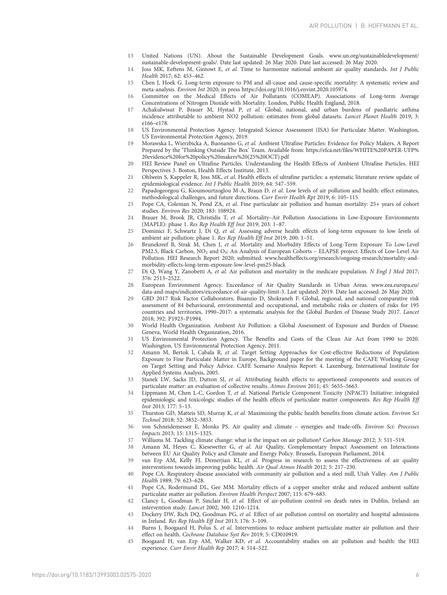- 13 United Nations (UN). About the Sustainable Development Goals. [www.un.org/sustainabledevelopment/](http://www.un.org/sustainabledevelopment/sustainable-development-goals/) [sustainable-development-goals/](http://www.un.org/sustainabledevelopment/sustainable-development-goals/). Date last updated: 26 May 2020. Date last accessed: 26 May 2020.
- <span id="page-5-0"></span>14 Joss MK, Eeftens M, Gintowt E, et al. Time to harmonize national ambient air quality standards. Int J Public Health 2017; 62: 453–462.
	- 15 Chen J, Hoek G. Long-term exposure to PM and all-cause and cause-specific mortality: A systematic review and meta-analysis. Environ Int 2020; in press<https://doi.org/10.1016/j.envint.2020.105974>.
	- 16 Committee on the Medical Effects of Air Pollutants (COMEAP). Associations of Long-term Average Concentrations of Nitrogen Dioxide with Mortality. London, Public Health England, 2018.
	- 17 Achakulwisut P, Brauer M, Hystad P, et al. Global, national, and urban burdens of paediatric asthma incidence attributable to ambient NO2 pollution: estimates from global datasets. Lancet Planet Health 2019; 3: e166–e178.
	- 18 US Environmental Protection Agency. Integrated Science Assessment (ISA) for Particulate Matter. Washington, US Environmental Protection Agency, 2019.
	- 19 Morawska L, Wierzbicka A, Buonanno G, et al. Ambient Ultrafine Particles: Evidence for Policy Makers. A Report Prepared by the 'Thinking Outside The Box' Team. Available from: [https://efca.net/files/WHITE%20PAPER-UFP%](https://efca.net/files/WHITE%20PAPER-UFP%20evidence%20for%20policy%20makers%20(25%20OCT).pdf) [20evidence%20for%20policy%20makers%20\(25%20OCT\).pdf](https://efca.net/files/WHITE%20PAPER-UFP%20evidence%20for%20policy%20makers%20(25%20OCT).pdf)
	- 20 HEI Review Panel on Ultrafine Particles. Understanding the Health Effects of Ambient Ultrafine Particles. HEI Perspectives 3. Boston, Health Effects Institute, 2013.
	- 21 Ohlwein S, Kappeler R, Joss MK, et al. Health effects of ultrafine particles: a systematic literature review update of epidemiological evidence. Int J Public Health 2019; 64: 547–559.
	- 22 Papadogeorgou G, Kioumourtzoglou M-A, Braun D, et al. Low levels of air pollution and health: effect estimates, methodological challenges, and future directions. Curr Envir Health Rpt 2019; 6: 105–115.
	- 23 Pope CA, Coleman N, Pond ZA, et al. Fine particulate air pollution and human mortality: 25+ years of cohort studies. Environ Res 2020; 183: 108924.
	- 24 Brauer M, Brook JR, Christidis T, et al. Mortality–Air Pollution Associations in Low-Exposure Environments (MAPLE): phase 1. Res Rep Health Eff Inst 2019; 203: 1–87.
	- 25 Dominici F, Schwartz J, Di Q, et al. Assessing adverse health effects of long-term exposure to low levels of ambient air pollution: phase 1. Res Rep Health Eff Inst 2019; 200: 1–51.
	- 26 Brunekreef B, Strak M, Chen J, et al. Mortality and Morbidity Effects of Long-Term Exposure To Low-Level PM2.5, Black Carbon, NO<sub>2</sub> and O<sub>3</sub>: An Analysis of European Cohorts - ELAPSE project: Effects of Low-Level Air Pollution. HEI Research Report 2020; submitted. [www.healtheffects.org/research/ongoing-research/mortality-and](http://www.healtheffects.org/research/ongoing-research/mortality-and-morbidity-effects-long-term-exposure-low-level-pm25-black)[morbidity-effects-long-term-exposure-low-level-pm25-black](http://www.healtheffects.org/research/ongoing-research/mortality-and-morbidity-effects-long-term-exposure-low-level-pm25-black)
	- 27 Di Q, Wang Y, Zanobetti A, et al. Air pollution and mortality in the medicare population. N Engl J Med 2017; 376: 2513–2522.
	- 28 European Environment Agency. Exceedance of Air Quality Standards in Urban Areas. [www.eea.europa.eu/](http://www.eea.europa.eu/data-and-maps/indicators/exceedance-of-air-quality-limit-3) [data-and-maps/indicators/exceedance-of-air-quality-limit-3.](http://www.eea.europa.eu/data-and-maps/indicators/exceedance-of-air-quality-limit-3) Last updated: 2019. Date last accessed: 26 May 2020.
	- 29 GBD 2017 Risk Factor Collaborators, Bisanzio D, Shokraneh F. Global, regional, and national comparative risk assessment of 84 behavioural, environmental and occupational, and metabolic risks or clusters of risks for 195 countries and territories, 1990–2017: a systematic analysis for the Global Burden of Disease Study 2017. Lancet 2018; 392: P1923–P1994.
	- 30 World Health Organization. Ambient Air Pollution: a Global Assessment of Exposure and Burden of Disease. Geneva, World Health Organization, 2016.
	- 31 US Environmental Protection Agency. The Benefits and Costs of the Clean Air Act from 1990 to 2020. Washington, US Environmental Protection Agency, 2011.
	- 32 Amann M, Bertok I, Cabala R, et al. Target Setting Approaches for Cost-effective Reductions of Population Exposure to Fine Particulate Matter in Europe, Background paper for the meeting of the CAFE Working Group on Target Setting and Policy Advice. CAFE Scenario Analysis Report: 4. Laxenburg, International Institute for Applied Systems Analysis, 2005.
	- 33 Stanek LW, Sacks JD, Dutton SJ, et al. Attributing health effects to apportioned components and sources of particulate matter: an evaluation of collective results. Atmos Environ 2011; 45: 5655–5663.
	- 34 Lippmann M, Chen L-C, Gordon T, et al. National Particle Component Toxicity (NPACT) Initiative: integrated epidemiologic and toxicologic studies of the health effects of particulate matter components. Res Rep Health Eff Inst 2013; 177: 5–13.
	- 35 Thurston GD, Matteis SD, Murray K, et al. Maximizing the public health benefits from climate action. Environ Sci Technol 2018; 52: 3852–3853.
	- 36 von Schneidemesser E, Monks PS. Air quality and climate synergies and trade-offs. Environ Sci: Processes Impacts 2013; 15: 1315–1325.
- 37 Williams M. Tackling climate change: what is the impact on air pollution? Carbon Manage 2012; 3: 511–519.
- 38 Amann M, Heyes C, Kiesewetter G, et al. Air Quality, Complementary Impact Assessment on Interactions between EU Air Quality Policy and Climate and Energy Policy. Brussels, European Parliament, 2014.
- 39 van Erp AM, Kelly FJ, Demerjian KL, et al. Progress in research to assess the effectiveness of air quality interventions towards improving public health. Air Qual Atmos Health 2012; 5: 217–230.
- 40 Pope CA. Respiratory disease associated with community air pollution and a steel mill, Utah Valley. Am J Public Health 1989; 79: 623–628.
- 41 Pope CA, Rodermund DL, Gee MM. Mortality effects of a copper smelter strike and reduced ambient sulfate particulate matter air pollution. Environ Health Perspect 2007; 115: 679–683.
- 42 Clancy L, Goodman P, Sinclair H, et al. Effect of air-pollution control on death rates in Dublin, Ireland: an intervention study. Lancet 2002; 360: 1210–1214.
- 43 Dockery DW, Rich DQ, Goodman PG, et al. Effect of air pollution control on mortality and hospital admissions in Ireland. Res Rep Health Eff Inst 2013; 176: 3–109.
- 44 Burns J, Boogaard H, Polus S, et al. Interventions to reduce ambient particulate matter air pollution and their effect on health. Cochrane Database Syst Rev 2019; 5: CD010919.
- 45 Boogaard H, van Erp AM, Walker KD, et al. Accountability studies on air pollution and health: the HEI experience. Curr Envir Health Rep 2017; 4: 514–522.